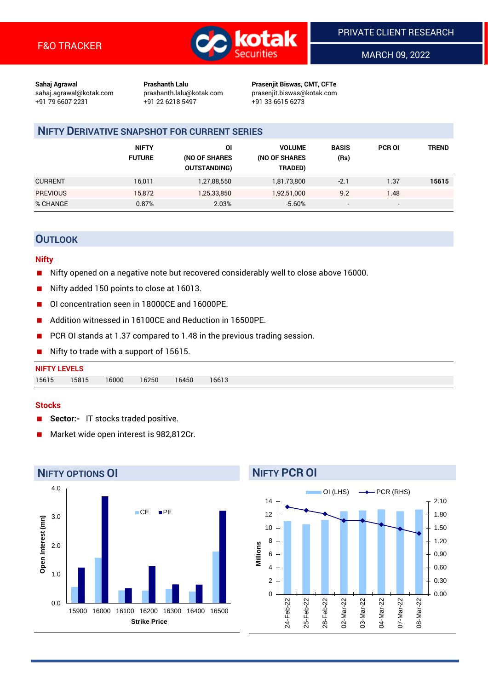

MARCH 09, 2022

**Sahaj Agrawal Prashanth Lalu Prasenjit Biswas, CMT, CFTe** +91 79 6607 2231 +91 22 6218 5497 +91 33 6615 6273

sahaj.agrawal@kotak.com [prashanth.lalu@kotak.com](mailto:prashanth.lalu@kotak.com) prasenjit.biswas@kotak.com

## **NIFTY DERIVATIVE SNAPSHOT FOR CURRENT SERIES**

|                 | <b>NIFTY</b><br><b>FUTURE</b> | ΟI<br>(NO OF SHARES<br><b>OUTSTANDING)</b> | <b>VOLUME</b><br>(NO OF SHARES<br>TRADED) | <b>BASIS</b><br>(Rs)     | <b>PCR OI</b>            | TREND |
|-----------------|-------------------------------|--------------------------------------------|-------------------------------------------|--------------------------|--------------------------|-------|
| <b>CURRENT</b>  | 16,011                        | 1,27,88,550                                | 1,81,73,800                               | $-2.1$                   | 1.37                     | 15615 |
| <b>PREVIOUS</b> | 15,872                        | 1,25,33,850                                | 1,92,51,000                               | 9.2                      | 1.48                     |       |
| % CHANGE        | 0.87%                         | 2.03%                                      | $-5.60%$                                  | $\overline{\phantom{a}}$ | $\overline{\phantom{0}}$ |       |

## **OUTLOOK**

### **Nifty**

- Nifty opened on a negative note but recovered considerably well to close above 16000.
- Nifty added 150 points to close at 16013.
- OI concentration seen in 18000CE and 16000PE.
- Addition witnessed in 16100CE and Reduction in 16500PE.
- PCR OI stands at 1.37 compared to 1.48 in the previous trading session.
- Nifty to trade with a support of 15615.

## **NIFTY LEVELS** 15615 15815 16000 16250 16450 16613

#### **Stocks**

- **Sector:-** IT stocks traded positive.
- Market wide open interest is 982,812Cr.



# **NIFTY PCR OI**

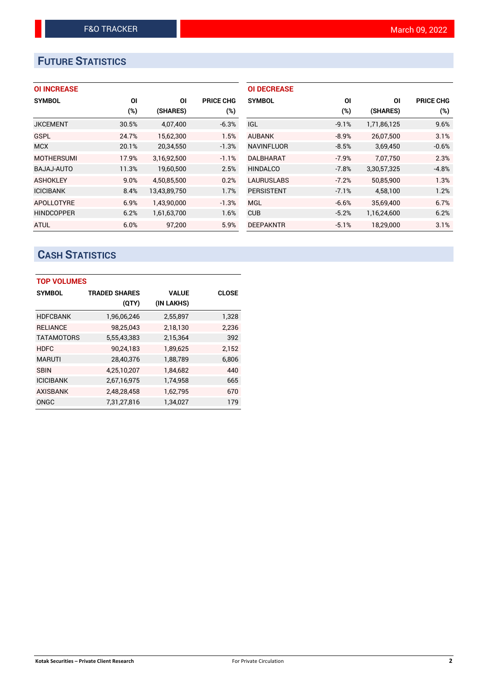# **FUTURE STATISTICS**

## **OI INCREASE**

| <b>SYMBOL</b>     | ΟI    | ΟI           | <b>PRICE CHG</b> |
|-------------------|-------|--------------|------------------|
|                   | (%)   | (SHARES)     | $(\%)$           |
| <b>JKCEMENT</b>   | 30.5% | 4,07,400     | $-6.3%$          |
| GSPL              | 24.7% | 15,62,300    | 1.5%             |
| <b>MCX</b>        | 20.1% | 20,34,550    | $-1.3%$          |
| <b>MOTHERSUMI</b> | 17.9% | 3,16,92,500  | $-1.1%$          |
| <b>BAJAJ-AUTO</b> | 11.3% | 19,60,500    | 2.5%             |
| <b>ASHOKLEY</b>   | 9.0%  | 4,50,85,500  | 0.2%             |
| <b>ICICIBANK</b>  | 8.4%  | 13,43,89,750 | 1.7%             |
| <b>APOLLOTYRE</b> | 6.9%  | 1,43,90,000  | $-1.3%$          |
| <b>HINDCOPPER</b> | 6.2%  | 1,61,63,700  | 1.6%             |
| <b>ATUL</b>       | 6.0%  | 97,200       | 5.9%             |

| <b>OI DECREASE</b> |         |             |                  |
|--------------------|---------|-------------|------------------|
| <b>SYMBOL</b>      | ΟI      | ΟI          | <b>PRICE CHG</b> |
|                    | (%)     | (SHARES)    | (%)              |
| IGL.               | $-9.1%$ | 1,71,86,125 | 9.6%             |
| <b>AUBANK</b>      | $-8.9%$ | 26,07,500   | 3.1%             |
| <b>NAVINFLUOR</b>  | $-8.5%$ | 3,69,450    | $-0.6%$          |
| <b>DALBHARAT</b>   | $-7.9%$ | 7.07.750    | 2.3%             |
| <b>HINDALCO</b>    | $-7.8%$ | 3,30,57,325 | $-4.8%$          |
| <b>LAURUSLABS</b>  | $-7.2%$ | 50.85.900   | 1.3%             |
| <b>PERSISTENT</b>  | $-7.1%$ | 4,58,100    | 1.2%             |
| <b>MGL</b>         | $-6.6%$ | 35,69,400   | 6.7%             |
| <b>CUB</b>         | $-5.2%$ | 1,16,24,600 | 6.2%             |
| DEEPAKNTR          | $-5.1%$ | 18,29,000   | 3.1%             |

# **CASH STATISTICS**

| <b>TOP VOLUMES</b> |                      |              |              |  |  |  |  |  |
|--------------------|----------------------|--------------|--------------|--|--|--|--|--|
| <b>SYMBOL</b>      | <b>TRADED SHARES</b> | <b>VALUE</b> | <b>CLOSE</b> |  |  |  |  |  |
|                    | (QTY)                | (IN LAKHS)   |              |  |  |  |  |  |
| <b>HDFCBANK</b>    | 1,96,06,246          | 2,55,897     | 1,328        |  |  |  |  |  |
| <b>RELIANCE</b>    | 98,25,043            | 2,18,130     | 2,236        |  |  |  |  |  |
| <b>TATAMOTORS</b>  | 5,55,43,383          | 2,15,364     | 392          |  |  |  |  |  |
| <b>HDFC</b>        | 90,24,183            | 1,89,625     | 2.152        |  |  |  |  |  |
| <b>MARUTI</b>      | 28,40,376            | 1,88,789     | 6,806        |  |  |  |  |  |
| <b>SBIN</b>        | 4,25,10,207          | 1,84,682     | 440          |  |  |  |  |  |
| <b>ICICIBANK</b>   | 2,67,16,975          | 1,74,958     | 665          |  |  |  |  |  |
| <b>AXISBANK</b>    | 2,48,28,458          | 1,62,795     | 670          |  |  |  |  |  |
| ONGC               | 7,31,27,816          | 1,34,027     | 179          |  |  |  |  |  |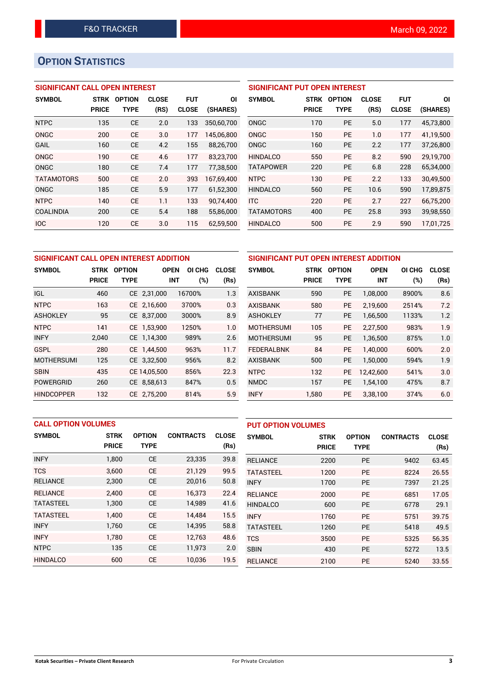# **OPTION STATISTICS**

## **SIGNIFICANT CALL OPEN INTEREST**

| <b>SYMBOL</b>     | <b>STRK</b>  | <b>OPTION</b> | <b>CLOSE</b> | <b>FUT</b>   | ΟI         |
|-------------------|--------------|---------------|--------------|--------------|------------|
|                   | <b>PRICE</b> | TYPE          | (RS)         | <b>CLOSE</b> | (SHARES)   |
| <b>NTPC</b>       | 135          | <b>CE</b>     | 2.0          | 133          | 350,60,700 |
| ONGC              | 200          | CE            | 3.0          | 177          | 145,06,800 |
| GAIL              | 160          | <b>CE</b>     | 4.2          | 155          | 88,26,700  |
| ONGC              | 190          | CE            | 4.6          | 177          | 83,23,700  |
| ONGC              | 180          | CE            | 7.4          | 177          | 77,38,500  |
| <b>TATAMOTORS</b> | 500          | CE            | 2.0          | 393          | 167,69,400 |
| ONGC              | 185          | <b>CE</b>     | 5.9          | 177          | 61,52,300  |
| <b>NTPC</b>       | 140          | CE            | 1.1          | 133          | 90.74.400  |
| COALINDIA         | 200          | CE            | 5.4          | 188          | 55,86,000  |
| <b>IOC</b>        | 120          | CE            | 3.0          | 115          | 62.59.500  |

## **SIGNIFICANT PUT OPEN INTEREST**

| <b>SYMBOL</b>     | <b>STRK</b><br><b>PRICE</b> | <b>OPTION</b><br>TYPE | <b>CLOSE</b><br>(RS) | <b>FUT</b><br><b>CLOSE</b> | ΟI<br>(SHARES) |
|-------------------|-----------------------------|-----------------------|----------------------|----------------------------|----------------|
| ONGC              | 170                         | <b>PE</b>             | 5.0                  | 177                        | 45,73,800      |
| ONGC              | 150                         | <b>PE</b>             | 1.0                  | 177                        | 41.19.500      |
| ONGC              | 160                         | <b>PE</b>             | 22                   | 177                        | 37,26,800      |
| <b>HINDALCO</b>   | 550                         | <b>PE</b>             | 8.2                  | 590                        | 29.19.700      |
| <b>TATAPOWER</b>  | 220                         | <b>PE</b>             | 6.8                  | 228                        | 65,34,000      |
| <b>NTPC</b>       | 130                         | PF                    | 2.2                  | 133                        | 30,49,500      |
| <b>HINDALCO</b>   | 560                         | <b>PE</b>             | 10.6                 | 590                        | 17.89.875      |
| <b>ITC</b>        | 220                         | <b>PE</b>             | 2.7                  | 227                        | 66,75,200      |
| <b>TATAMOTORS</b> | 400                         | <b>PF</b>             | 25.8                 | 393                        | 39.98.550      |
| <b>HINDALCO</b>   | 500                         | <b>PE</b>             | 2.9                  | 590                        | 17,01,725      |

| SIGNIFICANT CALL OPEN INTEREST ADDITION |                             |                              |              |                             |                      |  |  |
|-----------------------------------------|-----------------------------|------------------------------|--------------|-----------------------------|----------------------|--|--|
| <b>SYMBOL</b>                           | <b>STRK</b><br><b>PRICE</b> | <b>OPTION</b><br><b>TYPE</b> | <b>OPEN</b>  | OI CHG<br>(%)<br><b>INT</b> | <b>CLOSE</b><br>(Rs) |  |  |
| IGL.                                    | 460                         |                              | CE 2,31,000  | 16700%                      | 1.3                  |  |  |
| <b>NTPC</b>                             | 163                         |                              | CE 2,16,600  | 3700%                       | 0.3                  |  |  |
| <b>ASHOKLEY</b>                         | 95                          |                              | CE 8,37,000  | 3000%                       | 8.9                  |  |  |
| <b>NTPC</b>                             | 141                         |                              | CE 1,53,900  | 1250%                       | 1.0                  |  |  |
| <b>INFY</b>                             | 2,040                       |                              | CE 1,14,300  | 989%                        | 2.6                  |  |  |
| GSPL                                    | 280                         |                              | CE 1.44.500  | 963%                        | 11.7                 |  |  |
| <b>MOTHERSUMI</b>                       | 125                         |                              | CE 3,32,500  | 956%                        | 8.2                  |  |  |
| <b>SBIN</b>                             | 435                         |                              | CE 14,05,500 | 856%                        | 22.3                 |  |  |
| <b>POWERGRID</b>                        | 260                         |                              | CE 8,58,613  | 847%                        | 0.5                  |  |  |
| HINDCOPPER                              | 132                         |                              | CE 2.75.200  | 814%                        | 5.9                  |  |  |

| SIGNIFICANT PUT OPEN INTEREST ADDITION |              |               |             |        |              |  |  |  |
|----------------------------------------|--------------|---------------|-------------|--------|--------------|--|--|--|
| <b>SYMBOL</b>                          | <b>STRK</b>  | <b>OPTION</b> | <b>OPEN</b> | OI CHG | <b>CLOSE</b> |  |  |  |
|                                        | <b>PRICE</b> | <b>TYPE</b>   | <b>INT</b>  | $(\%)$ | (Rs)         |  |  |  |
| AXISBANK                               | 590          | <b>PE</b>     | 1,08,000    | 8900%  | 8.6          |  |  |  |
| <b>AXISBANK</b>                        | 580          | <b>PE</b>     | 2,19,600    | 2514%  | 7.2          |  |  |  |
| <b>ASHOKLEY</b>                        | 77           | <b>PE</b>     | 1,66,500    | 1133%  | 1.2          |  |  |  |
| <b>MOTHERSUMI</b>                      | 105          | <b>PE</b>     | 2,27,500    | 983%   | 1.9          |  |  |  |
| <b>MOTHERSUMI</b>                      | 95           | <b>PE</b>     | 1,36,500    | 875%   | 1.0          |  |  |  |
| <b>FEDERALBNK</b>                      | 84           | PE            | 1.40.000    | 600%   | 2.0          |  |  |  |
| <b>AXISBANK</b>                        | 500          | <b>PE</b>     | 1,50,000    | 594%   | 1.9          |  |  |  |
| <b>NTPC</b>                            | 132          | <b>PE</b>     | 12.42.600   | 541%   | 3.0          |  |  |  |
| <b>NMDC</b>                            | 157          | <b>PE</b>     | 1,54,100    | 475%   | 8.7          |  |  |  |
| <b>INFY</b>                            | 1,580        | PE            | 3,38,100    | 374%   | 6.0          |  |  |  |

| <b>CALL OPTION VOLUMES</b> |              |               |                  | <b>PUT OPTION VOLUMES</b> |                  |              |               |                  |              |
|----------------------------|--------------|---------------|------------------|---------------------------|------------------|--------------|---------------|------------------|--------------|
| <b>SYMBOL</b>              | <b>STRK</b>  | <b>OPTION</b> | <b>CONTRACTS</b> | <b>CLOSE</b>              | <b>SYMBOL</b>    | <b>STRK</b>  | <b>OPTION</b> | <b>CONTRACTS</b> | <b>CLOSE</b> |
|                            | <b>PRICE</b> | <b>TYPE</b>   |                  | (Rs)                      |                  | <b>PRICE</b> | <b>TYPE</b>   |                  | (Rs)         |
| <b>INFY</b>                | 1,800        | <b>CE</b>     | 23,335           | 39.8                      | <b>RELIANCE</b>  | 2200         | <b>PE</b>     | 9402             | 63.45        |
| <b>TCS</b>                 | 3.600        | <b>CE</b>     | 21.129           | 99.5                      | <b>TATASTEEL</b> | 1200         | PE            | 8224             | 26.55        |
| <b>RELIANCE</b>            | 2,300        | <b>CE</b>     | 20,016           | 50.8                      | <b>INFY</b>      | 1700         | <b>PE</b>     | 7397             | 21.25        |
| <b>RELIANCE</b>            | 2.400        | <b>CE</b>     | 16,373           | 22.4                      | <b>RELIANCE</b>  | 2000         | <b>PE</b>     | 6851             | 17.05        |
| <b>TATASTEEL</b>           | 1,300        | <b>CE</b>     | 14,989           | 41.6                      | <b>HINDALCO</b>  | 600          | <b>PE</b>     | 6778             | 29.1         |
| <b>TATASTEEL</b>           | 1.400        | <b>CE</b>     | 14.484           | 15.5                      | <b>INFY</b>      | 1760         | <b>PE</b>     | 5751             | 39.75        |
| <b>INFY</b>                | 1,760        | <b>CE</b>     | 14,395           | 58.8                      | <b>TATASTEEL</b> | 1260         | PE            | 5418             | 49.5         |
| <b>INFY</b>                | 1.780        | <b>CE</b>     | 12.763           | 48.6                      | <b>TCS</b>       | 3500         | <b>PE</b>     | 5325             | 56.35        |
| <b>NTPC</b>                | 135          | <b>CE</b>     | 11,973           | 2.0                       | <b>SBIN</b>      | 430          | <b>PE</b>     | 5272             | 13.5         |
| <b>HINDALCO</b>            | 600          | <b>CE</b>     | 10,036           | 19.5                      | <b>RELIANCE</b>  | 2100         | PE            | 5240             | 33.55        |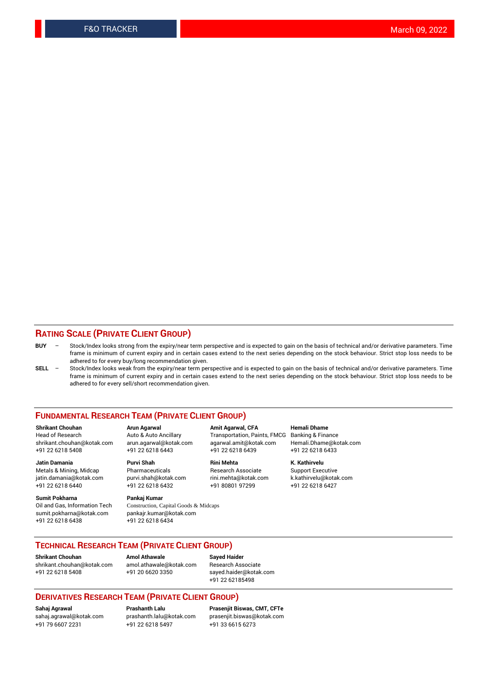## **RATING SCALE (PRIVATE CLIENT GROUP)**

- **BUY**  Stock/Index looks strong from the expiry/near term perspective and is expected to gain on the basis of technical and/or derivative parameters. Time frame is minimum of current expiry and in certain cases extend to the next series depending on the stock behaviour. Strict stop loss needs to be adhered to for every buy/long recommendation given.
- **SELL** Stock/Index looks weak from the expiry/near term perspective and is expected to gain on the basis of technical and/or derivative parameters. Time frame is minimum of current expiry and in certain cases extend to the next series depending on the stock behaviour. Strict stop loss needs to be adhered to for every sell/short recommendation given.

#### **FUNDAMENTAL RESEARCH TEAM (PRIVATE CLIENT GROUP)**

**Shrikant Chouhan Arun Agarwal Amit Agarwal, CFA Hemali Dhame** shrikant.chouhan@kotak.com arun.agarwal@kotak.com agarwal.amit@kotak.com Hemali.Dhame@kotak.com +91 22 6218 5408 +91 22 6218 6443 +91 22 6218 6439 +91 22 6218 6433

jatin.damania@kotak.com +91 22 6218 6440 +91 22 6218 6432 +91 80801 97299 +91 22 6218 6427

**Sumit Pokharna** Pankaj Kumar<br>Oil and Gas, Information Tech Construction, C sumit.pokharna@kotak.com pankajr.kumar@kotak.com +91 22 6218 6438 +91 22 6218 6434

**Jatin Damania Purvi Shah Rini Mehta K. Kathirvelu**

Construction, Capital Goods & Midcaps

Transportation, Paints, FMCG

Metals & Mining, Midcap Pharmaceuticals Pharmaceuticals Research Associate Support Executive<br>
iatin.damania@kotak.com purvi.shah@kotak.com rini.mehta@kotak.com k.kathirvelu@kotak.com

## **TECHNICAL RESEARCH TEAM (PRIVATE CLIENT GROUP)**

**Shrikant Chouhan Amol Athawale Sayed Haider** [shrikant.chouhan@kotak.com](mailto:shrikant.chouhan@kotak.com) [amol.athawale@kotak.com](mailto:amol.athawale@kotak.com) Research Associate +91 22 6218 5408 +91 20 6620 3350 [sayed.haider@kotak.com](mailto:sayed.haider@kotak.com)

+91 22 62185498

#### **DERIVATIVES RESEARCH TEAM (PRIVATE CLIENT GROUP)**

+91 79 6607 2231 +91 22 6218 5497 +91 33 6615 6273

**Sahaj Agrawal Prashanth Lalu Prasenjit Biswas, CMT, CFTe** [prasenjit.biswas@kotak.com](mailto:prasenjit.biswas@kotak.com)